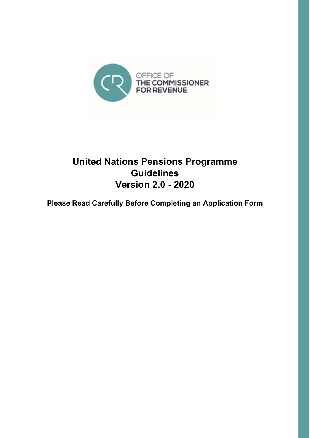

# United Nations Pensions Programme **Guidelines** Version 2.0 - 2020

Please Read Carefully Before Completing an Application Form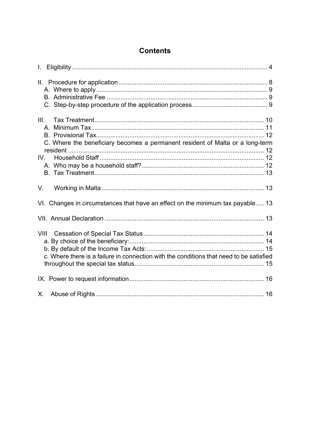| <b>Contents</b> |
|-----------------|
|-----------------|

| $\mathbf{L}$ |                                                                                         |  |
|--------------|-----------------------------------------------------------------------------------------|--|
|              |                                                                                         |  |
| III.         | C. Where the beneficiary becomes a permanent resident of Malta or a long-term           |  |
|              |                                                                                         |  |
| V.           |                                                                                         |  |
|              | VI. Changes in circumstances that have an effect on the minimum tax payable 13          |  |
|              |                                                                                         |  |
|              | c. Where there is a failure in connection with the conditions that need to be satisfied |  |
|              |                                                                                         |  |
| $X_{-}$      |                                                                                         |  |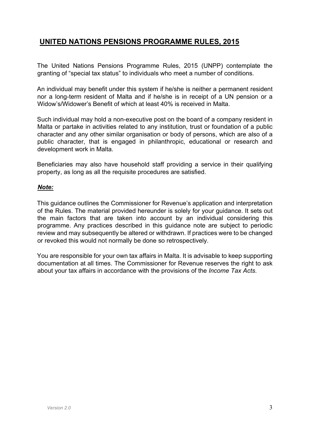#### UNITED NATIONS PENSIONS PROGRAMME RULES, 2015

The United Nations Pensions Programme Rules, 2015 (UNPP) contemplate the granting of "special tax status" to individuals who meet a number of conditions.

An individual may benefit under this system if he/she is neither a permanent resident nor a long-term resident of Malta and if he/she is in receipt of a UN pension or a Widow's/Widower's Benefit of which at least 40% is received in Malta.

Such individual may hold a non-executive post on the board of a company resident in Malta or partake in activities related to any institution, trust or foundation of a public character and any other similar organisation or body of persons, which are also of a public character, that is engaged in philanthropic, educational or research and development work in Malta.

Beneficiaries may also have household staff providing a service in their qualifying property, as long as all the requisite procedures are satisfied.

#### Note:

This guidance outlines the Commissioner for Revenue's application and interpretation of the Rules. The material provided hereunder is solely for your guidance. It sets out the main factors that are taken into account by an individual considering this programme. Any practices described in this guidance note are subject to periodic review and may subsequently be altered or withdrawn. If practices were to be changed or revoked this would not normally be done so retrospectively.

You are responsible for your own tax affairs in Malta. It is advisable to keep supporting documentation at all times. The Commissioner for Revenue reserves the right to ask about your tax affairs in accordance with the provisions of the Income Tax Acts.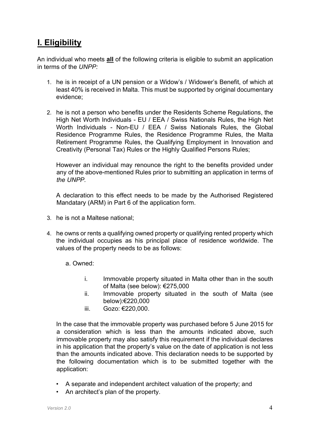# I. Eligibility

An individual who meets all of the following criteria is eligible to submit an application in terms of the UNPP:

- 1. he is in receipt of a UN pension or a Widow's / Widower's Benefit, of which at least 40% is received in Malta. This must be supported by original documentary evidence;
- 2. he is not a person who benefits under the Residents Scheme Regulations, the High Net Worth Individuals - EU / EEA / Swiss Nationals Rules, the High Net Worth Individuals - Non-EU / EEA / Swiss Nationals Rules, the Global Residence Programme Rules, the Residence Programme Rules, the Malta Retirement Programme Rules, the Qualifying Employment in Innovation and Creativity (Personal Tax) Rules or the Highly Qualified Persons Rules;

However an individual may renounce the right to the benefits provided under any of the above-mentioned Rules prior to submitting an application in terms of the UNPP.

A declaration to this effect needs to be made by the Authorised Registered Mandatary (ARM) in Part 6 of the application form.

- 3. he is not a Maltese national;
- 4. he owns or rents a qualifying owned property or qualifying rented property which the individual occupies as his principal place of residence worldwide. The values of the property needs to be as follows:
	- a. Owned:
		- i. Immovable property situated in Malta other than in the south of Malta (see below): €275,000
		- ii. Immovable property situated in the south of Malta (see below):€220,000
		- iii. Gozo: €220,000.

In the case that the immovable property was purchased before 5 June 2015 for a consideration which is less than the amounts indicated above, such immovable property may also satisfy this requirement if the individual declares in his application that the property's value on the date of application is not less than the amounts indicated above. This declaration needs to be supported by the following documentation which is to be submitted together with the application:

- A separate and independent architect valuation of the property; and
- An architect's plan of the property.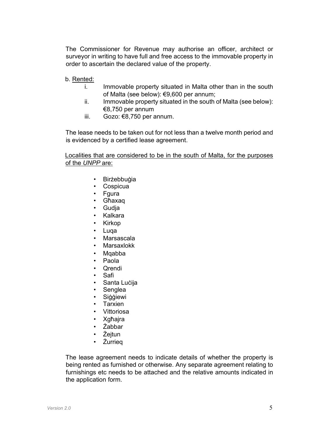The Commissioner for Revenue may authorise an officer, architect or surveyor in writing to have full and free access to the immovable property in order to ascertain the declared value of the property.

- b. Rented:
	- i. Immovable property situated in Malta other than in the south of Malta (see below): €9,600 per annum;
	- ii. Immovable property situated in the south of Malta (see below): €8,750 per annum
	- iii. Gozo: €8,750 per annum.

The lease needs to be taken out for not less than a twelve month period and is evidenced by a certified lease agreement.

Localities that are considered to be in the south of Malta, for the purposes of the UNPP are:

- Birżebbuġia
- Cospicua
- Fgura
- Għaxaq
- Gudja
- Kalkara
- Kirkop
- Luqa
- Marsascala
- **Marsaxlokk**
- Mqabba
- Paola
- Qrendi
- Safi
- Santa Luċija
- Senglea
- Siġġiewi
- **Tarxien**
- Vittoriosa
- Xgħajra
- Żabbar
- Żejtun
- Żurrieq

The lease agreement needs to indicate details of whether the property is being rented as furnished or otherwise. Any separate agreement relating to furnishings etc needs to be attached and the relative amounts indicated in the application form.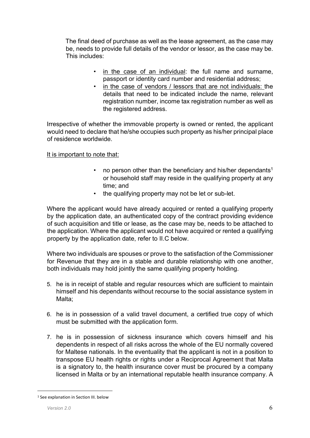The final deed of purchase as well as the lease agreement, as the case may be, needs to provide full details of the vendor or lessor, as the case may be. This includes:

- in the case of an individual: the full name and surname, passport or identity card number and residential address;
- in the case of vendors / lessors that are not individuals: the details that need to be indicated include the name, relevant registration number, income tax registration number as well as the registered address.

Irrespective of whether the immovable property is owned or rented, the applicant would need to declare that he/she occupies such property as his/her principal place of residence worldwide.

It is important to note that:

- no person other than the beneficiary and his/her dependants<sup>1</sup> or household staff may reside in the qualifying property at any time; and
- the qualifying property may not be let or sub-let.

Where the applicant would have already acquired or rented a qualifying property by the application date, an authenticated copy of the contract providing evidence of such acquisition and title or lease, as the case may be, needs to be attached to the application. Where the applicant would not have acquired or rented a qualifying property by the application date, refer to II.C below.

Where two individuals are spouses or prove to the satisfaction of the Commissioner for Revenue that they are in a stable and durable relationship with one another, both individuals may hold jointly the same qualifying property holding.

- 5. he is in receipt of stable and regular resources which are sufficient to maintain himself and his dependants without recourse to the social assistance system in Malta;
- 6. he is in possession of a valid travel document, a certified true copy of which must be submitted with the application form.
- 7. he is in possession of sickness insurance which covers himself and his dependents in respect of all risks across the whole of the EU normally covered for Maltese nationals. In the eventuality that the applicant is not in a position to transpose EU health rights or rights under a Reciprocal Agreement that Malta is a signatory to, the health insurance cover must be procured by a company licensed in Malta or by an international reputable health insurance company. A

<sup>1</sup> See explanation in Section III. below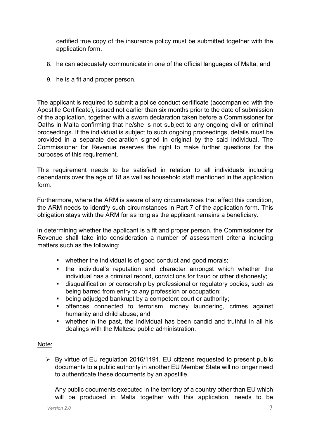certified true copy of the insurance policy must be submitted together with the application form.

- 8. he can adequately communicate in one of the official languages of Malta; and
- 9. he is a fit and proper person.

The applicant is required to submit a police conduct certificate (accompanied with the Apostille Certificate), issued not earlier than six months prior to the date of submission of the application, together with a sworn declaration taken before a Commissioner for Oaths in Malta confirming that he/she is not subject to any ongoing civil or criminal proceedings. If the individual is subject to such ongoing proceedings, details must be provided in a separate declaration signed in original by the said individual. The Commissioner for Revenue reserves the right to make further questions for the purposes of this requirement.

This requirement needs to be satisfied in relation to all individuals including dependants over the age of 18 as well as household staff mentioned in the application form.

Furthermore, where the ARM is aware of any circumstances that affect this condition, the ARM needs to identify such circumstances in Part 7 of the application form. This obligation stays with the ARM for as long as the applicant remains a beneficiary.

In determining whether the applicant is a fit and proper person, the Commissioner for Revenue shall take into consideration a number of assessment criteria including matters such as the following:

- whether the individual is of good conduct and good morals;
- the individual's reputation and character amongst which whether the individual has a criminal record, convictions for fraud or other dishonesty;
- disqualification or censorship by professional or regulatory bodies, such as being barred from entry to any profession or occupation;
- being adjudged bankrupt by a competent court or authority;
- offences connected to terrorism, money laundering, crimes against humanity and child abuse; and
- whether in the past, the individual has been candid and truthful in all his dealings with the Maltese public administration.

#### Note:

 By virtue of EU regulation 2016/1191, EU citizens requested to present public documents to a public authority in another EU Member State will no longer need to authenticate these documents by an apostille.

Any public documents executed in the territory of a country other than EU which will be produced in Malta together with this application, needs to be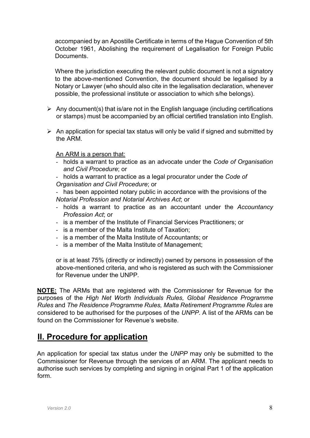accompanied by an Apostille Certificate in terms of the Hague Convention of 5th October 1961, Abolishing the requirement of Legalisation for Foreign Public **Documents** 

Where the jurisdiction executing the relevant public document is not a signatory to the above-mentioned Convention, the document should be legalised by a Notary or Lawyer (who should also cite in the legalisation declaration, whenever possible, the professional institute or association to which s/he belongs).

- $\triangleright$  Any document(s) that is/are not in the English language (including certifications or stamps) must be accompanied by an official certified translation into English.
- $\triangleright$  An application for special tax status will only be valid if signed and submitted by the ARM.

An ARM is a person that:

- holds a warrant to practice as an advocate under the Code of Organisation and Civil Procedure; or
- holds a warrant to practice as a legal procurator under the Code of Organisation and Civil Procedure; or

- has been appointed notary public in accordance with the provisions of the Notarial Profession and Notarial Archives Act; or

- holds a warrant to practice as an accountant under the Accountancy Profession Act; or
- is a member of the Institute of Financial Services Practitioners; or
- is a member of the Malta Institute of Taxation;
- is a member of the Malta Institute of Accountants; or
- is a member of the Malta Institute of Management;

or is at least 75% (directly or indirectly) owned by persons in possession of the above-mentioned criteria, and who is registered as such with the Commissioner for Revenue under the UNPP.

NOTE: The ARMs that are registered with the Commissioner for Revenue for the purposes of the High Net Worth Individuals Rules, Global Residence Programme Rules and The Residence Programme Rules, Malta Retirement Programme Rules are considered to be authorised for the purposes of the UNPP. A list of the ARMs can be found on the Commissioner for Revenue's website.

### II. Procedure for application

An application for special tax status under the UNPP may only be submitted to the Commissioner for Revenue through the services of an ARM. The applicant needs to authorise such services by completing and signing in original Part 1 of the application form.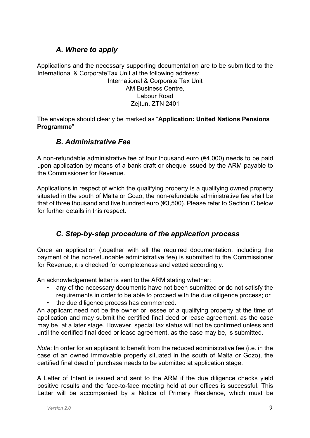### A. Where to apply

Applications and the necessary supporting documentation are to be submitted to the International & CorporateTax Unit at the following address:

International & Corporate Tax Unit AM Business Centre, Labour Road Zejtun, ZTN 2401

The envelope should clearly be marked as "Application: United Nations Pensions Programme"

#### B. Administrative Fee

A non-refundable administrative fee of four thousand euro (€4,000) needs to be paid upon application by means of a bank draft or cheque issued by the ARM payable to the Commissioner for Revenue.

Applications in respect of which the qualifying property is a qualifying owned property situated in the south of Malta or Gozo, the non-refundable administrative fee shall be that of three thousand and five hundred euro (€3,500). Please refer to Section C below for further details in this respect.

### C. Step-by-step procedure of the application process

Once an application (together with all the required documentation, including the payment of the non-refundable administrative fee) is submitted to the Commissioner for Revenue, it is checked for completeness and vetted accordingly.

An acknowledgement letter is sent to the ARM stating whether:

- any of the necessary documents have not been submitted or do not satisfy the requirements in order to be able to proceed with the due diligence process; or
- the due diligence process has commenced.

An applicant need not be the owner or lessee of a qualifying property at the time of application and may submit the certified final deed or lease agreement, as the case may be, at a later stage. However, special tax status will not be confirmed unless and until the certified final deed or lease agreement, as the case may be, is submitted.

Note: In order for an applicant to benefit from the reduced administrative fee (i.e. in the case of an owned immovable property situated in the south of Malta or Gozo), the certified final deed of purchase needs to be submitted at application stage.

A Letter of Intent is issued and sent to the ARM if the due diligence checks yield positive results and the face-to-face meeting held at our offices is successful. This Letter will be accompanied by a Notice of Primary Residence, which must be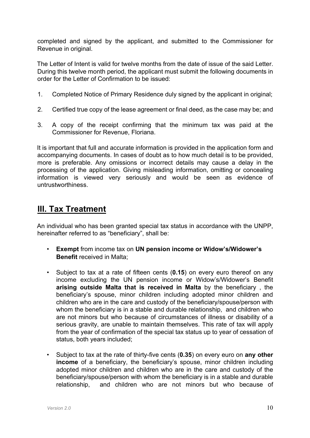completed and signed by the applicant, and submitted to the Commissioner for Revenue in original.

The Letter of Intent is valid for twelve months from the date of issue of the said Letter. During this twelve month period, the applicant must submit the following documents in order for the Letter of Confirmation to be issued:

- 1. Completed Notice of Primary Residence duly signed by the applicant in original;
- 2. Certified true copy of the lease agreement or final deed, as the case may be; and
- 3. A copy of the receipt confirming that the minimum tax was paid at the Commissioner for Revenue, Floriana.

It is important that full and accurate information is provided in the application form and accompanying documents. In cases of doubt as to how much detail is to be provided, more is preferable. Any omissions or incorrect details may cause a delay in the processing of the application. Giving misleading information, omitting or concealing information is viewed very seriously and would be seen as evidence of untrustworthiness.

## III. Tax Treatment

An individual who has been granted special tax status in accordance with the UNPP, hereinafter referred to as "beneficiary", shall be:

- Exempt from income tax on UN pension income or Widow's/Widower's Benefit received in Malta;
- Subject to tax at a rate of fifteen cents (0.15) on every euro thereof on any income excluding the UN pension income or Widow's/Widower's Benefit arising outside Malta that is received in Malta by the beneficiary , the beneficiary's spouse, minor children including adopted minor children and children who are in the care and custody of the beneficiary/spouse/person with whom the beneficiary is in a stable and durable relationship, and children who are not minors but who because of circumstances of illness or disability of a serious gravity, are unable to maintain themselves. This rate of tax will apply from the year of confirmation of the special tax status up to year of cessation of status, both years included;
- Subject to tax at the rate of thirty-five cents (0.35) on every euro on any other income of a beneficiary, the beneficiary's spouse, minor children including adopted minor children and children who are in the care and custody of the beneficiary/spouse/person with whom the beneficiary is in a stable and durable relationship, and children who are not minors but who because of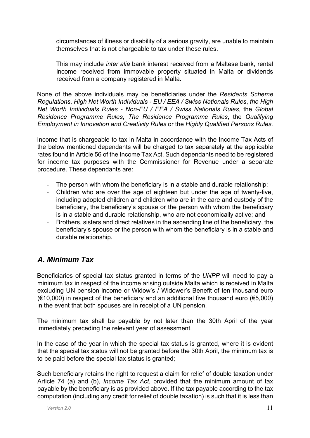circumstances of illness or disability of a serious gravity, are unable to maintain themselves that is not chargeable to tax under these rules.

This may include *inter alia* bank interest received from a Maltese bank, rental income received from immovable property situated in Malta or dividends received from a company registered in Malta.

None of the above individuals may be beneficiaries under the Residents Scheme Regulations, High Net Worth Individuals - EU / EEA / Swiss Nationals Rules, the High Net Worth Individuals Rules - Non-EU / EEA / Swiss Nationals Rules, the Global Residence Programme Rules, The Residence Programme Rules, the Qualifying Employment in Innovation and Creativity Rules or the Highly Qualified Persons Rules.

Income that is chargeable to tax in Malta in accordance with the Income Tax Acts of the below mentioned dependants will be charged to tax separately at the applicable rates found in Article 56 of the Income Tax Act. Such dependants need to be registered for income tax purposes with the Commissioner for Revenue under a separate procedure. These dependants are:

- The person with whom the beneficiary is in a stable and durable relationship;
- Children who are over the age of eighteen but under the age of twenty-five, including adopted children and children who are in the care and custody of the beneficiary, the beneficiary's spouse or the person with whom the beneficiary is in a stable and durable relationship, who are not economically active; and
- Brothers, sisters and direct relatives in the ascending line of the beneficiary, the beneficiary's spouse or the person with whom the beneficiary is in a stable and durable relationship.

### A. Minimum Tax

Beneficiaries of special tax status granted in terms of the UNPP will need to pay a minimum tax in respect of the income arising outside Malta which is received in Malta excluding UN pension income or Widow's / Widower's Benefit of ten thousand euro (€10,000) in respect of the beneficiary and an additional five thousand euro (€5,000) in the event that both spouses are in receipt of a UN pension.

The minimum tax shall be payable by not later than the 30th April of the year immediately preceding the relevant year of assessment.

In the case of the year in which the special tax status is granted, where it is evident that the special tax status will not be granted before the 30th April, the minimum tax is to be paid before the special tax status is granted;

Such beneficiary retains the right to request a claim for relief of double taxation under Article 74 (a) and (b), Income Tax Act, provided that the minimum amount of tax payable by the beneficiary is as provided above. If the tax payable according to the tax computation (including any credit for relief of double taxation) is such that it is less than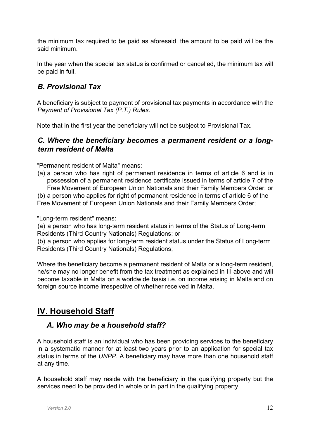the minimum tax required to be paid as aforesaid, the amount to be paid will be the said minimum.

In the year when the special tax status is confirmed or cancelled, the minimum tax will be paid in full.

#### B. Provisional Tax

A beneficiary is subject to payment of provisional tax payments in accordance with the Payment of Provisional Tax (P.T.) Rules.

Note that in the first year the beneficiary will not be subject to Provisional Tax.

#### C. Where the beneficiary becomes a permanent resident or a longterm resident of Malta

"Permanent resident of Malta" means:

(a) a person who has right of permanent residence in terms of article 6 and is in possession of a permanent residence certificate issued in terms of article 7 of the Free Movement of European Union Nationals and their Family Members Order; or

(b) a person who applies for right of permanent residence in terms of article 6 of the Free Movement of European Union Nationals and their Family Members Order;

"Long-term resident" means:

(a) a person who has long-term resident status in terms of the Status of Long-term Residents (Third Country Nationals) Regulations; or

(b) a person who applies for long-term resident status under the Status of Long-term Residents (Third Country Nationals) Regulations;

Where the beneficiary become a permanent resident of Malta or a long-term resident, he/she may no longer benefit from the tax treatment as explained in III above and will become taxable in Malta on a worldwide basis i.e. on income arising in Malta and on foreign source income irrespective of whether received in Malta.

# IV. Household Staff

#### A. Who may be a household staff?

A household staff is an individual who has been providing services to the beneficiary in a systematic manner for at least two years prior to an application for special tax status in terms of the UNPP. A beneficiary may have more than one household staff at any time.

A household staff may reside with the beneficiary in the qualifying property but the services need to be provided in whole or in part in the qualifying property.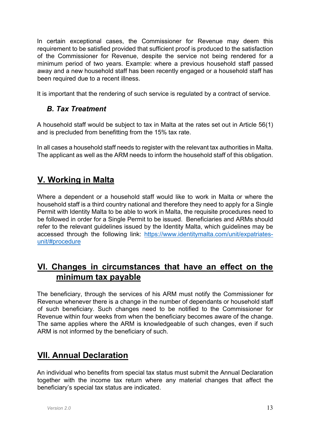In certain exceptional cases, the Commissioner for Revenue may deem this requirement to be satisfied provided that sufficient proof is produced to the satisfaction of the Commissioner for Revenue, despite the service not being rendered for a minimum period of two years. Example: where a previous household staff passed away and a new household staff has been recently engaged or a household staff has been required due to a recent illness.

It is important that the rendering of such service is regulated by a contract of service.

### B. Tax Treatment

A household staff would be subject to tax in Malta at the rates set out in Article 56(1) and is precluded from benefitting from the 15% tax rate.

In all cases a household staff needs to register with the relevant tax authorities in Malta. The applicant as well as the ARM needs to inform the household staff of this obligation.

# V. Working in Malta

Where a dependent or a household staff would like to work in Malta or where the household staff is a third country national and therefore they need to apply for a Single Permit with Identity Malta to be able to work in Malta, the requisite procedures need to be followed in order for a Single Permit to be issued. Beneficiaries and ARMs should refer to the relevant guidelines issued by the Identity Malta, which guidelines may be accessed through the following link: https://www.identitymalta.com/unit/expatriatesunit/#procedure

## VI. Changes in circumstances that have an effect on the minimum tax payable

The beneficiary, through the services of his ARM must notify the Commissioner for Revenue whenever there is a change in the number of dependants or household staff of such beneficiary. Such changes need to be notified to the Commissioner for Revenue within four weeks from when the beneficiary becomes aware of the change. The same applies where the ARM is knowledgeable of such changes, even if such ARM is not informed by the beneficiary of such.

# VII. Annual Declaration

An individual who benefits from special tax status must submit the Annual Declaration together with the income tax return where any material changes that affect the beneficiary's special tax status are indicated.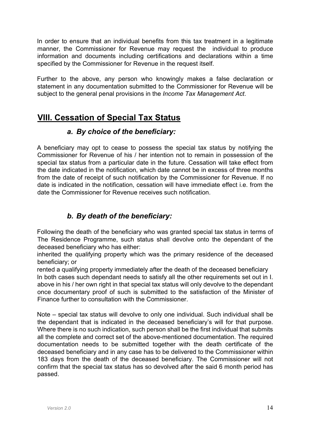In order to ensure that an individual benefits from this tax treatment in a legitimate manner, the Commissioner for Revenue may request the individual to produce information and documents including certifications and declarations within a time specified by the Commissioner for Revenue in the request itself.

Further to the above, any person who knowingly makes a false declaration or statement in any documentation submitted to the Commissioner for Revenue will be subject to the general penal provisions in the *Income Tax Management Act*.

# VIII. Cessation of Special Tax Status

#### a. By choice of the beneficiary:

A beneficiary may opt to cease to possess the special tax status by notifying the Commissioner for Revenue of his / her intention not to remain in possession of the special tax status from a particular date in the future. Cessation will take effect from the date indicated in the notification, which date cannot be in excess of three months from the date of receipt of such notification by the Commissioner for Revenue. If no date is indicated in the notification, cessation will have immediate effect i.e. from the date the Commissioner for Revenue receives such notification.

### b. By death of the beneficiary:

Following the death of the beneficiary who was granted special tax status in terms of The Residence Programme, such status shall devolve onto the dependant of the deceased beneficiary who has either:

inherited the qualifying property which was the primary residence of the deceased beneficiary; or

rented a qualifying property immediately after the death of the deceased beneficiary In both cases such dependant needs to satisfy all the other requirements set out in I. above in his / her own right in that special tax status will only devolve to the dependant once documentary proof of such is submitted to the satisfaction of the Minister of Finance further to consultation with the Commissioner.

Note – special tax status will devolve to only one individual. Such individual shall be the dependant that is indicated in the deceased beneficiary's will for that purpose. Where there is no such indication, such person shall be the first individual that submits all the complete and correct set of the above-mentioned documentation. The required documentation needs to be submitted together with the death certificate of the deceased beneficiary and in any case has to be delivered to the Commissioner within 183 days from the death of the deceased beneficiary. The Commissioner will not confirm that the special tax status has so devolved after the said 6 month period has passed.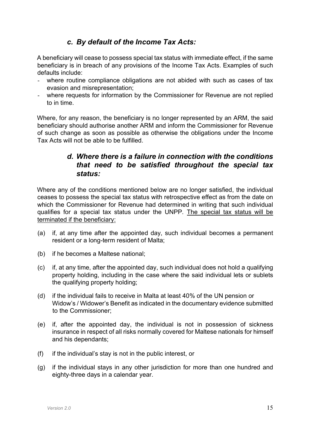#### c. By default of the Income Tax Acts:

A beneficiary will cease to possess special tax status with immediate effect, if the same beneficiary is in breach of any provisions of the Income Tax Acts. Examples of such defaults include:

- where routine compliance obligations are not abided with such as cases of tax evasion and misrepresentation;
- where requests for information by the Commissioner for Revenue are not replied to in time.

Where, for any reason, the beneficiary is no longer represented by an ARM, the said beneficiary should authorise another ARM and inform the Commissioner for Revenue of such change as soon as possible as otherwise the obligations under the Income Tax Acts will not be able to be fulfilled.

#### d. Where there is a failure in connection with the conditions that need to be satisfied throughout the special tax status:

Where any of the conditions mentioned below are no longer satisfied, the individual ceases to possess the special tax status with retrospective effect as from the date on which the Commissioner for Revenue had determined in writing that such individual qualifies for a special tax status under the UNPP. The special tax status will be terminated if the beneficiary:

- (a) if, at any time after the appointed day, such individual becomes a permanent resident or a long-term resident of Malta;
- (b) if he becomes a Maltese national;
- (c) if, at any time, after the appointed day, such individual does not hold a qualifying property holding, including in the case where the said individual lets or sublets the qualifying property holding;
- (d) if the individual fails to receive in Malta at least 40% of the UN pension or Widow's / Widower's Benefit as indicated in the documentary evidence submitted to the Commissioner;
- (e) if, after the appointed day, the individual is not in possession of sickness insurance in respect of all risks normally covered for Maltese nationals for himself and his dependants;
- (f) if the individual's stay is not in the public interest, or
- (g) if the individual stays in any other jurisdiction for more than one hundred and eighty-three days in a calendar year.